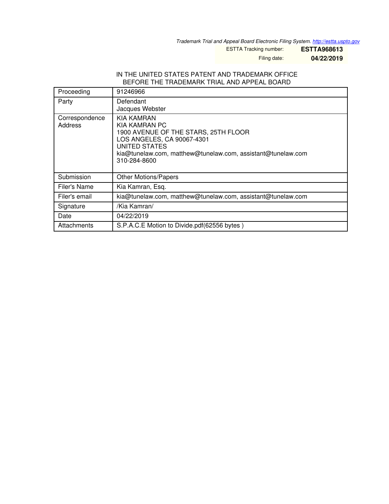*Trademark Trial and Appeal Board Electronic Filing System. <http://estta.uspto.gov>*

ESTTA Tracking number: **ESTTA968613**

Filing date: **04/22/2019**

#### IN THE UNITED STATES PATENT AND TRADEMARK OFFICE BEFORE THE TRADEMARK TRIAL AND APPEAL BOARD

| Proceeding                | 91246966                                                                                                                                                                                                 |
|---------------------------|----------------------------------------------------------------------------------------------------------------------------------------------------------------------------------------------------------|
| Party                     | Defendant<br>Jacques Webster                                                                                                                                                                             |
| Correspondence<br>Address | KIA KAMRAN<br>KIA KAMRAN PC<br>1900 AVENUE OF THE STARS, 25TH FLOOR<br>LOS ANGELES, CA 90067-4301<br><b>UNITED STATES</b><br>kia@tunelaw.com, matthew@tunelaw.com, assistant@tunelaw.com<br>310-284-8600 |
| Submission                | <b>Other Motions/Papers</b>                                                                                                                                                                              |
| Filer's Name              | Kia Kamran, Esq.                                                                                                                                                                                         |
| Filer's email             | kia@tunelaw.com, matthew@tunelaw.com, assistant@tunelaw.com                                                                                                                                              |
| Signature                 | /Kia Kamran/                                                                                                                                                                                             |
| Date                      | 04/22/2019                                                                                                                                                                                               |
| Attachments               | S.P.A.C.E Motion to Divide.pdf(62556 bytes)                                                                                                                                                              |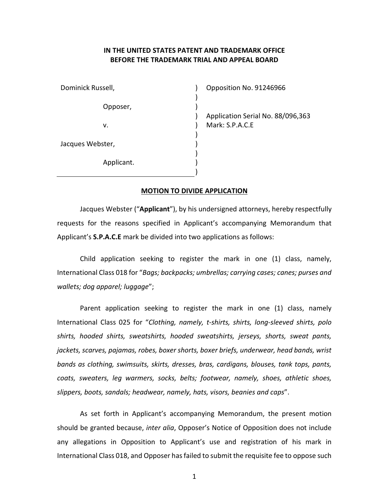## IN THE UNITED STATES PATENT AND TRADEMARK OFFICE BEFORE THE TRADEMARK TRIAL AND APPEAL BOARD

| Dominick Russell, |  |
|-------------------|--|
| Opposer,          |  |
| v.                |  |
| Jacques Webster,  |  |
| Applicant.        |  |

Opposition No. 91246966

Application Serial No. 88/096,363 Mark: S.P.A.C.E

#### MOTION TO DIVIDE APPLICATION

Jacques Webster ("Applicant"), by his undersigned attorneys, hereby respectfully requests for the reasons specified in Applicant's accompanying Memorandum that Applicant's **S.P.A.C.E** mark be divided into two applications as follows:

Child application seeking to register the mark in one (1) class, namely, International Class 018 for "Bags; backpacks; umbrellas; carrying cases; canes; purses and wallets; dog apparel; luggage";

Parent application seeking to register the mark in one (1) class, namely International Class 025 for "Clothing, namely, t-shirts, shirts, long-sleeved shirts, polo shirts, hooded shirts, sweatshirts, hooded sweatshirts, jerseys, shorts, sweat pants, jackets, scarves, pajamas, robes, boxer shorts, boxer briefs, underwear, head bands, wrist bands as clothing, swimsuits, skirts, dresses, bras, cardigans, blouses, tank tops, pants, coats, sweaters, leg warmers, socks, belts; footwear, namely, shoes, athletic shoes, slippers, boots, sandals; headwear, namely, hats, visors, beanies and caps".

As set forth in Applicant's accompanying Memorandum, the present motion should be granted because, inter alia, Opposer's Notice of Opposition does not include any allegations in Opposition to Applicant's use and registration of his mark in International Class 018, and Opposer has failed to submit the requisite fee to oppose such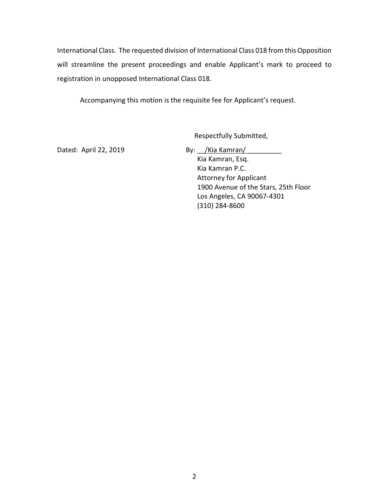International Class. The requested division of International Class 018 from this Opposition will streamline the present proceedings and enable Applicant's mark to proceed to registration in unopposed International Class 018.

Accompanying this motion is the requisite fee for Applicant's request.

Respectfully Submitted,

Dated: April 22, 2019 By: <u>Kia Kamran/</u>

Kia Kamran, Esq. Kia Kamran P.C. Attorney for Applicant 1900 Avenue of the Stars, 25th Floor Los Angeles, CA 90067-4301 (310) 284-8600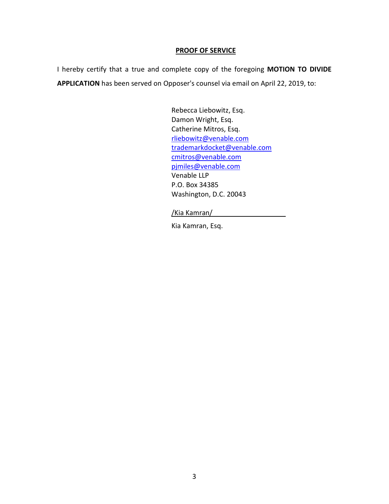### PROOF OF SERVICE

I hereby certify that a true and complete copy of the foregoing MOTION TO DIVIDE APPLICATION has been served on Opposer's counsel via email on April 22, 2019, to:

> Rebecca Liebowitz, Esq. Damon Wright, Esq. Catherine Mitros, Esq. rliebowitz@venable.com trademarkdocket@venable.com cmitros@venable.com pjmiles@venable.com Venable LLP P.O. Box 34385 Washington, D.C. 20043

### /Kia Kamran/

Kia Kamran, Esq.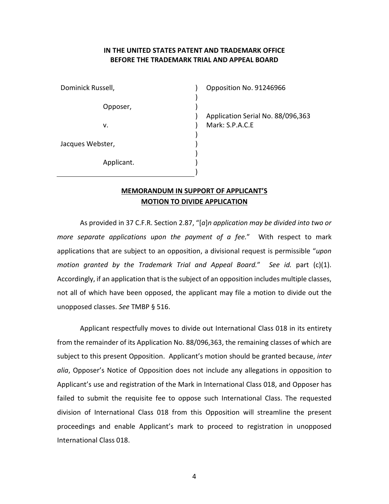# IN THE UNITED STATES PATENT AND TRADEMARK OFFICE BEFORE THE TRADEMARK TRIAL AND APPEAL BOARD

 $\lambda$  $\lambda$  $\lambda$ ) ) ) ) ) ) )

| Dominick Russell, |            |  |  |
|-------------------|------------|--|--|
|                   | Opposer,   |  |  |
| v.                |            |  |  |
| Jacques Webster,  |            |  |  |
|                   | Applicant. |  |  |

Opposition No. 91246966

Application Serial No. 88/096,363 Mark: S.P.A.C.E

# MEMORANDUM IN SUPPORT OF APPLICANT'S MOTION TO DIVIDE APPLICATION

As provided in 37 C.F.R. Section 2.87, "[a]n application may be divided into two or more separate applications upon the payment of a fee." With respect to mark applications that are subject to an opposition, a divisional request is permissible "upon motion granted by the Trademark Trial and Appeal Board." See id. part (c)(1). Accordingly, if an application that is the subject of an opposition includes multiple classes, not all of which have been opposed, the applicant may file a motion to divide out the unopposed classes. See TMBP § 516.

Applicant respectfully moves to divide out International Class 018 in its entirety from the remainder of its Application No. 88/096,363, the remaining classes of which are subject to this present Opposition. Applicant's motion should be granted because, inter alia, Opposer's Notice of Opposition does not include any allegations in opposition to Applicant's use and registration of the Mark in International Class 018, and Opposer has failed to submit the requisite fee to oppose such International Class. The requested division of International Class 018 from this Opposition will streamline the present proceedings and enable Applicant's mark to proceed to registration in unopposed International Class 018.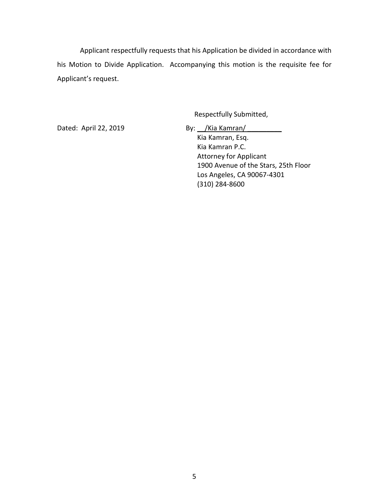Applicant respectfully requests that his Application be divided in accordance with his Motion to Divide Application. Accompanying this motion is the requisite fee for Applicant's request.

Respectfully Submitted,

Dated: April 22, 2019 By: <u>/Kia Kamran/</u> 2019 Kia Kamran, Esq. Kia Kamran P.C. Attorney for Applicant 1900 Avenue of the Stars, 25th Floor Los Angeles, CA 90067-4301 (310) 284-8600